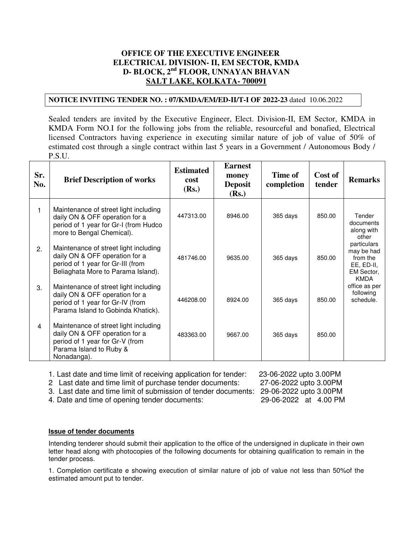# **OFFICE OF THE EXECUTIVE ENGINEER ELECTRICAL DIVISION- II, EM SECTOR, KMDA D- BLOCK, 2nd FLOOR, UNNAYAN BHAVAN SALT LAKE, KOLKATA- 700091**

# **NOTICE INVITING TENDER NO. : 07/KMDA/EM/ED-II/T-I OF 2022-23** dated 10.06.2022

Sealed tenders are invited by the Executive Engineer, Elect. Division-II, EM Sector, KMDA in KMDA Form NO.I for the following jobs from the reliable, resourceful and bonafied, Electrical licensed Contractors having experience in executing similar nature of job of value of 50% of estimated cost through a single contract within last 5 years in a Government / Autonomous Body / P.S.U.

| Sr.<br>No.     | <b>Brief Description of works</b>                                                                                                                    | <b>Estimated</b><br>cost<br>(Rs.) | <b>Earnest</b><br>money<br><b>Deposit</b><br>(Rs.) | Time of<br>completion | Cost of<br>tender | <b>Remarks</b>                                                                   |
|----------------|------------------------------------------------------------------------------------------------------------------------------------------------------|-----------------------------------|----------------------------------------------------|-----------------------|-------------------|----------------------------------------------------------------------------------|
| 1              | Maintenance of street light including<br>daily ON & OFF operation for a<br>period of 1 year for Gr-I (from Hudco<br>more to Bengal Chemical).        | 447313.00                         | 8946.00                                            | 365 days              | 850.00            | Tender<br>documents<br>along with<br>other                                       |
| 2.             | Maintenance of street light including<br>daily ON & OFF operation for a<br>period of 1 year for Gr-III (from<br>Beliaghata More to Parama Island).   | 481746.00                         | 9635.00                                            | 365 days              | 850.00            | particulars<br>may be had<br>from the<br>EE, ED-II,<br>EM Sector,<br><b>KMDA</b> |
| 3.             | Maintenance of street light including<br>daily ON & OFF operation for a<br>period of 1 year for Gr-IV (from<br>Parama Island to Gobinda Khatick).    | 446208.00                         | 8924.00                                            | 365 days              | 850.00            | office as per<br>following<br>schedule.                                          |
| $\overline{4}$ | Maintenance of street light including<br>daily ON & OFF operation for a<br>period of 1 year for Gr-V (from<br>Parama Island to Ruby &<br>Nonadanga). | 483363.00                         | 9667.00                                            | 365 days              | 850.00            |                                                                                  |

1. Last date and time limit of receiving application for tender: 23-06-2022 upto 3.00PM<br>2 Last date and time limit of purchase tender documents: 27-06-2022 upto 3.00PM

2 Last date and time limit of purchase tender documents:

3. Last date and time limit of submission of tender documents: 29-06-2022 upto 3.00PM

4. Date and time of opening tender documents: 29-06-2022 at 4.00 PM

## **Issue of tender documents**

Intending tenderer should submit their application to the office of the undersigned in duplicate in their own letter head along with photocopies of the following documents for obtaining qualification to remain in the tender process.

1. Completion certificate e showing execution of similar nature of job of value not less than 50%of the estimated amount put to tender.